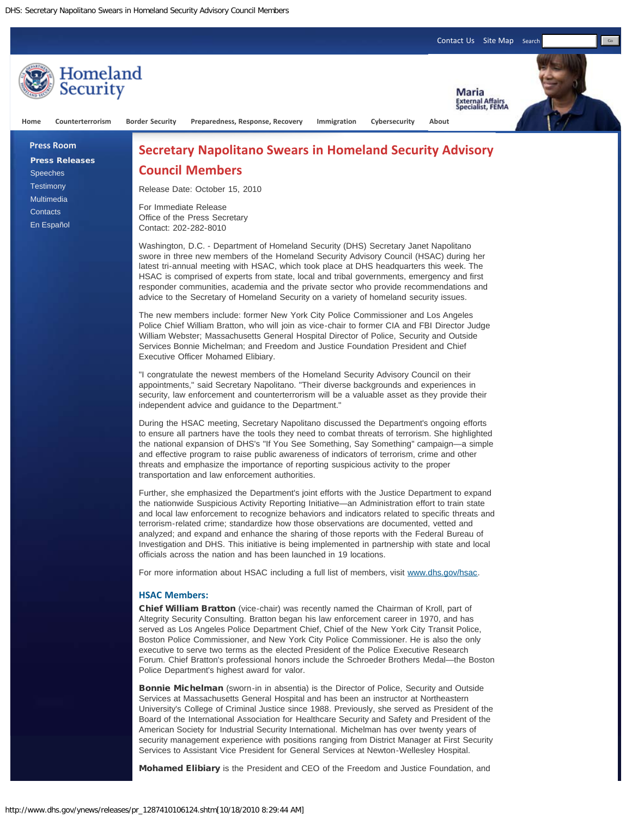

University's College of Criminal Justice since 1988. Previously, she served as President of the Board of the International Association for Healthcare Security and Safety and President of the American Society for Industrial Security International. Michelman has over twenty years of security management experience with positions ranging from District Manager at First Security Services to Assistant Vice President for General Services at Newton-Wellesley Hospital.

Mohamed Elibiary is the President and CEO of the Freedom and Justice Foundation, and